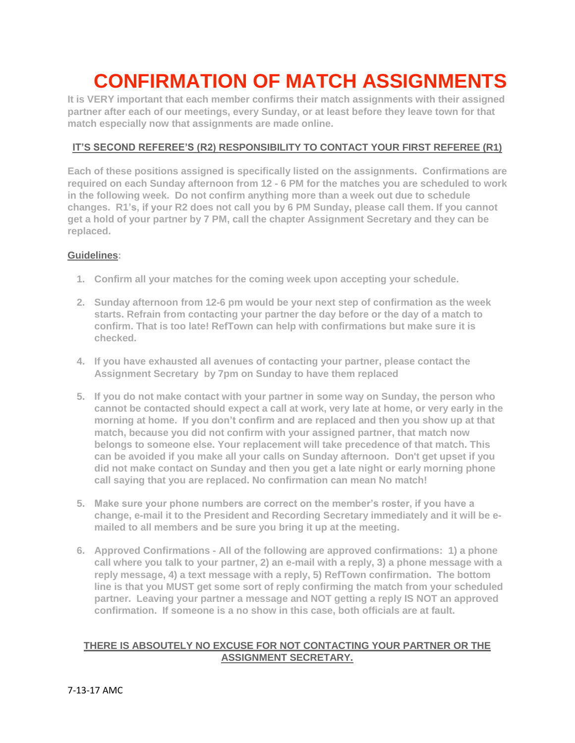## **CONFIRMATION OF MATCH ASSIGNMENTS**

**It is VERY important that each member confirms their match assignments with their assigned partner after each of our meetings, every Sunday, or at least before they leave town for that match especially now that assignments are made online.**

## **IT'S SECOND REFEREE'S (R2) RESPONSIBILITY TO CONTACT YOUR FIRST REFEREE (R1)**

**Each of these positions assigned is specifically listed on the assignments. Confirmations are required on each Sunday afternoon from 12 - 6 PM for the matches you are scheduled to work in the following week. Do not confirm anything more than a week out due to schedule changes. R1's, if your R2 does not call you by 6 PM Sunday, please call them. If you cannot get a hold of your partner by 7 PM, call the chapter Assignment Secretary and they can be replaced.** 

## **Guidelines:**

- **1. Confirm all your matches for the coming week upon accepting your schedule.**
- **2. Sunday afternoon from 12-6 pm would be your next step of confirmation as the week starts. Refrain from contacting your partner the day before or the day of a match to confirm. That is too late! RefTown can help with confirmations but make sure it is checked.**
- **4. If you have exhausted all avenues of contacting your partner, please contact the Assignment Secretary by 7pm on Sunday to have them replaced**
- **5. If you do not make contact with your partner in some way on Sunday, the person who cannot be contacted should expect a call at work, very late at home, or very early in the morning at home. If you don't confirm and are replaced and then you show up at that match, because you did not confirm with your assigned partner, that match now belongs to someone else. Your replacement will take precedence of that match. This can be avoided if you make all your calls on Sunday afternoon. Don't get upset if you did not make contact on Sunday and then you get a late night or early morning phone call saying that you are replaced. No confirmation can mean No match!**
- **5. Make sure your phone numbers are correct on the member's roster, if you have a change, e-mail it to the President and Recording Secretary immediately and it will be emailed to all members and be sure you bring it up at the meeting.**
- **6. Approved Confirmations - All of the following are approved confirmations: 1) a phone call where you talk to your partner, 2) an e-mail with a reply, 3) a phone message with a reply message, 4) a text message with a reply, 5) RefTown confirmation. The bottom line is that you MUST get some sort of reply confirming the match from your scheduled partner. Leaving your partner a message and NOT getting a reply IS NOT an approved confirmation. If someone is a no show in this case, both officials are at fault.**

## **THERE IS ABSOUTELY NO EXCUSE FOR NOT CONTACTING YOUR PARTNER OR THE ASSIGNMENT SECRETARY.**